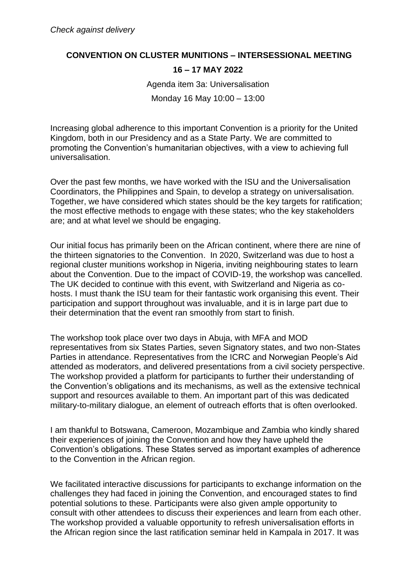## **CONVENTION ON CLUSTER MUNITIONS – INTERSESSIONAL MEETING**

## **16 – 17 MAY 2022**

Agenda item 3a: Universalisation

Monday 16 May 10:00 – 13:00

Increasing global adherence to this important Convention is a priority for the United Kingdom, both in our Presidency and as a State Party. We are committed to promoting the Convention's humanitarian objectives, with a view to achieving full universalisation.

Over the past few months, we have worked with the ISU and the Universalisation Coordinators, the Philippines and Spain, to develop a strategy on universalisation. Together, we have considered which states should be the key targets for ratification; the most effective methods to engage with these states; who the key stakeholders are; and at what level we should be engaging.

Our initial focus has primarily been on the African continent, where there are nine of the thirteen signatories to the Convention. In 2020, Switzerland was due to host a regional cluster munitions workshop in Nigeria, inviting neighbouring states to learn about the Convention. Due to the impact of COVID-19, the workshop was cancelled. The UK decided to continue with this event, with Switzerland and Nigeria as cohosts. I must thank the ISU team for their fantastic work organising this event. Their participation and support throughout was invaluable, and it is in large part due to their determination that the event ran smoothly from start to finish.

The workshop took place over two days in Abuja, with MFA and MOD representatives from six States Parties, seven Signatory states, and two non-States Parties in attendance. Representatives from the ICRC and Norwegian People's Aid attended as moderators, and delivered presentations from a civil society perspective. The workshop provided a platform for participants to further their understanding of the Convention's obligations and its mechanisms, as well as the extensive technical support and resources available to them. An important part of this was dedicated military-to-military dialogue, an element of outreach efforts that is often overlooked.

I am thankful to Botswana, Cameroon, Mozambique and Zambia who kindly shared their experiences of joining the Convention and how they have upheld the Convention's obligations. These States served as important examples of adherence to the Convention in the African region.

We facilitated interactive discussions for participants to exchange information on the challenges they had faced in joining the Convention, and encouraged states to find potential solutions to these. Participants were also given ample opportunity to consult with other attendees to discuss their experiences and learn from each other. The workshop provided a valuable opportunity to refresh universalisation efforts in the African region since the last ratification seminar held in Kampala in 2017. It was